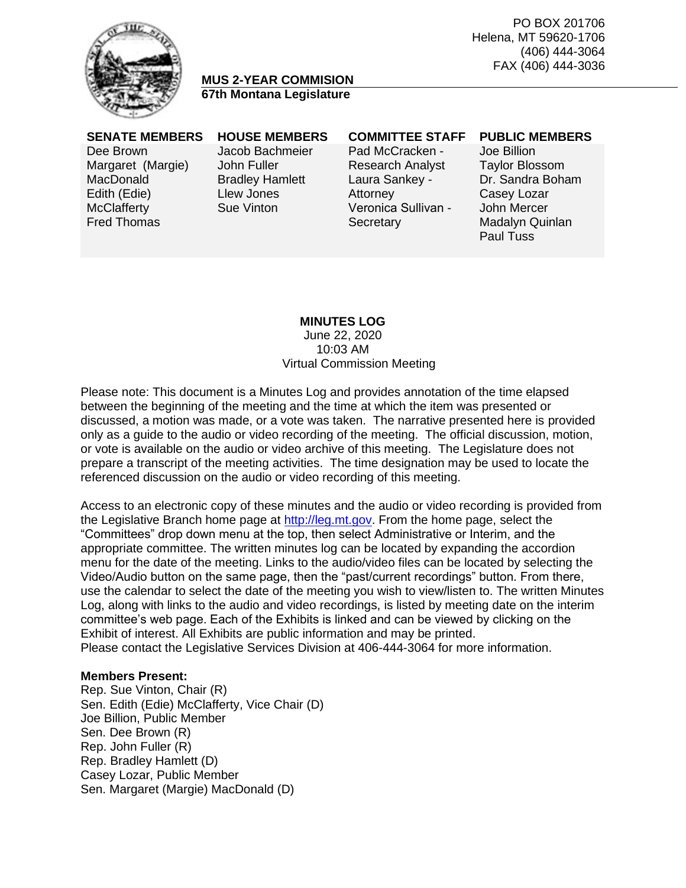

# **MUS 2-YEAR COMMISION 67th Montana Legislature**

Dee Brown Margaret (Margie) **MacDonald** Edith (Edie) **McClafferty** Fred Thomas

Jacob Bachmeier John Fuller Bradley Hamlett Llew Jones Sue Vinton

# Pad McCracken - Research Analyst Laura Sankey - **Attorney** Veronica Sullivan - **Secretary**

#### **SENATE MEMBERS HOUSE MEMBERS COMMITTEE STAFF PUBLIC MEMBERS**

Joe Billion Taylor Blossom Dr. Sandra Boham Casey Lozar John Mercer Madalyn Quinlan Paul Tuss

# **MINUTES LOG**

June 22, 2020 10:03 AM Virtual Commission Meeting

Please note: This document is a Minutes Log and provides annotation of the time elapsed between the beginning of the meeting and the time at which the item was presented or discussed, a motion was made, or a vote was taken. The narrative presented here is provided only as a guide to the audio or video recording of the meeting. The official discussion, motion, or vote is available on the audio or video archive of this meeting. The Legislature does not prepare a transcript of the meeting activities. The time designation may be used to locate the referenced discussion on the audio or video recording of this meeting.

Access to an electronic copy of these minutes and the audio or video recording is provided from the Legislative Branch home page at [http://leg.mt.gov.](http://leg.mt.gov/) From the home page, select the "Committees" drop down menu at the top, then select Administrative or Interim, and the appropriate committee. The written minutes log can be located by expanding the accordion menu for the date of the meeting. Links to the audio/video files can be located by selecting the Video/Audio button on the same page, then the "past/current recordings" button. From there, use the calendar to select the date of the meeting you wish to view/listen to. The written Minutes Log, along with links to the audio and video recordings, is listed by meeting date on the interim committee's web page. Each of the Exhibits is linked and can be viewed by clicking on the Exhibit of interest. All Exhibits are public information and may be printed. Please contact the Legislative Services Division at 406-444-3064 for more information.

#### **Members Present:**

Rep. Sue Vinton, Chair (R) Sen. Edith (Edie) McClafferty, Vice Chair (D) Joe Billion, Public Member Sen. Dee Brown (R) Rep. John Fuller (R) Rep. Bradley Hamlett (D) Casey Lozar, Public Member Sen. Margaret (Margie) MacDonald (D)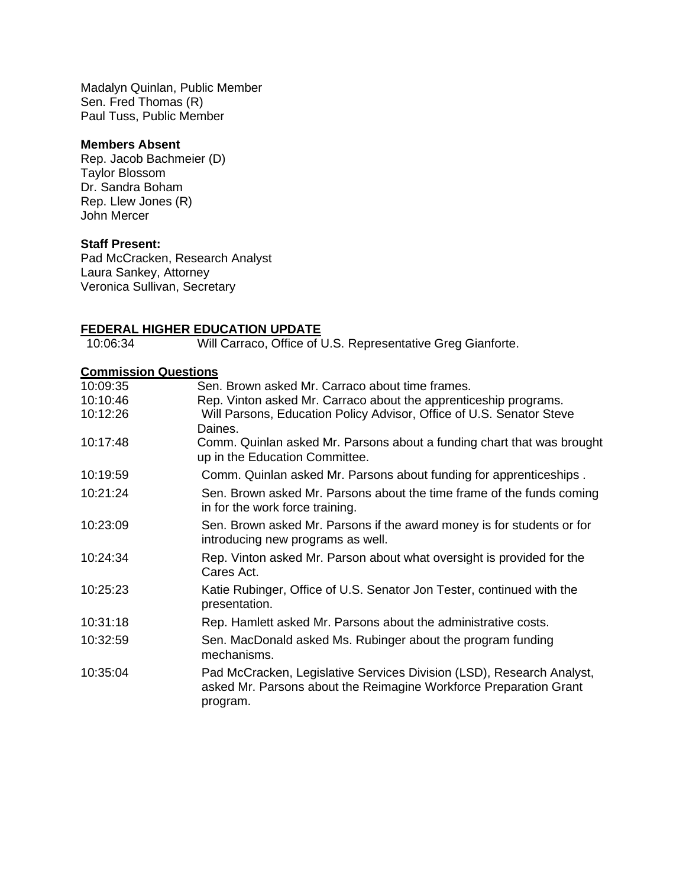Madalyn Quinlan, Public Member Sen. Fred Thomas (R) Paul Tuss, Public Member

#### **Members Absent**

Rep. Jacob Bachmeier (D) Taylor Blossom Dr. Sandra Boham Rep. Llew Jones (R) John Mercer

#### **Staff Present:**

Pad McCracken, Research Analyst Laura Sankey, Attorney Veronica Sullivan, Secretary

#### **FEDERAL HIGHER EDUCATION UPDATE**

10:06:34 Will Carraco, Office of U.S. Representative Greg Gianforte.

#### **Commission Questions**

| 10:09:35 | Sen. Brown asked Mr. Carraco about time frames.                                                                                                        |
|----------|--------------------------------------------------------------------------------------------------------------------------------------------------------|
| 10:10:46 | Rep. Vinton asked Mr. Carraco about the apprenticeship programs.                                                                                       |
| 10:12:26 | Will Parsons, Education Policy Advisor, Office of U.S. Senator Steve                                                                                   |
|          | Daines.                                                                                                                                                |
| 10:17:48 | Comm. Quinlan asked Mr. Parsons about a funding chart that was brought<br>up in the Education Committee.                                               |
| 10:19:59 | Comm. Quinlan asked Mr. Parsons about funding for apprenticeships.                                                                                     |
| 10:21:24 | Sen. Brown asked Mr. Parsons about the time frame of the funds coming<br>in for the work force training.                                               |
| 10:23:09 | Sen. Brown asked Mr. Parsons if the award money is for students or for<br>introducing new programs as well.                                            |
| 10:24:34 | Rep. Vinton asked Mr. Parson about what oversight is provided for the<br>Cares Act.                                                                    |
| 10:25:23 | Katie Rubinger, Office of U.S. Senator Jon Tester, continued with the<br>presentation.                                                                 |
| 10:31:18 | Rep. Hamlett asked Mr. Parsons about the administrative costs.                                                                                         |
| 10:32:59 | Sen. MacDonald asked Ms. Rubinger about the program funding<br>mechanisms.                                                                             |
| 10:35:04 | Pad McCracken, Legislative Services Division (LSD), Research Analyst,<br>asked Mr. Parsons about the Reimagine Workforce Preparation Grant<br>program. |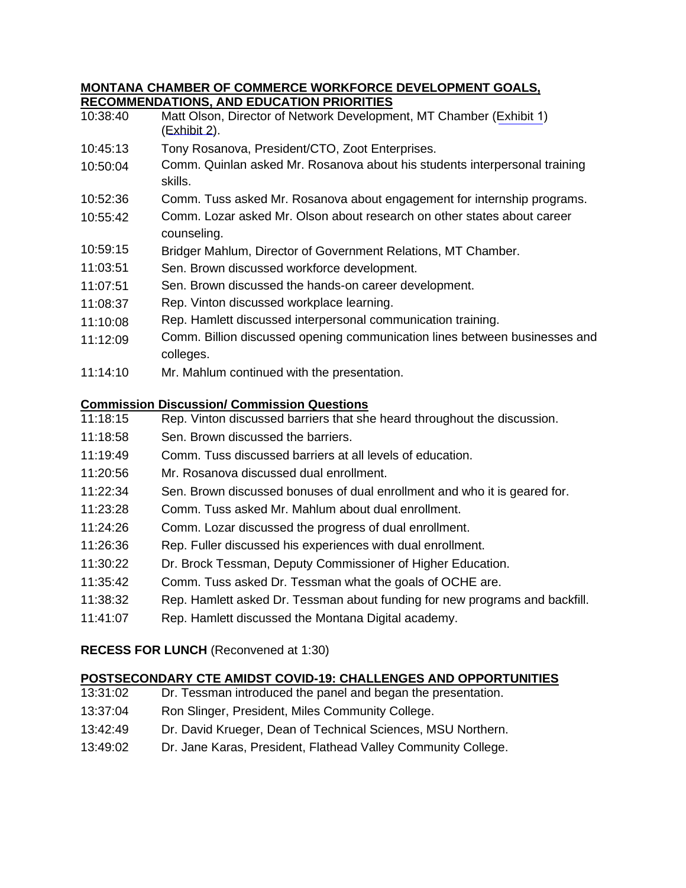#### **MONTANA CHAMBER OF COMMERCE WORKFORCE DEVELOPMENT GOALS, RECOMMENDATIONS, AND EDUCATION PRIORITIES**

| 10:38:40                                     | <u>RECOMMENDATIONS, AND EDUCATION PRIORITIES</u><br>Matt Olson, Director of Network Development, MT Chamber (Exhibit 1) |  |
|----------------------------------------------|-------------------------------------------------------------------------------------------------------------------------|--|
|                                              | (Exhibit 2).                                                                                                            |  |
| 10:45:13                                     | Tony Rosanova, President/CTO, Zoot Enterprises.                                                                         |  |
| 10:50:04                                     | Comm. Quinlan asked Mr. Rosanova about his students interpersonal training<br>skills.                                   |  |
| 10:52:36                                     | Comm. Tuss asked Mr. Rosanova about engagement for internship programs.                                                 |  |
| 10:55:42                                     | Comm. Lozar asked Mr. Olson about research on other states about career<br>counseling.                                  |  |
| 10:59:15                                     | Bridger Mahlum, Director of Government Relations, MT Chamber.                                                           |  |
| 11:03:51                                     | Sen. Brown discussed workforce development.                                                                             |  |
| 11:07:51                                     | Sen. Brown discussed the hands-on career development.                                                                   |  |
| 11:08:37                                     | Rep. Vinton discussed workplace learning.                                                                               |  |
| 11:10:08                                     | Rep. Hamlett discussed interpersonal communication training.                                                            |  |
| 11:12:09                                     | Comm. Billion discussed opening communication lines between businesses and                                              |  |
|                                              | colleges.                                                                                                               |  |
| 11:14:10                                     | Mr. Mahlum continued with the presentation.                                                                             |  |
|                                              | <b>Commission Discussion/ Commission Questions</b>                                                                      |  |
| 11:18:15                                     | Rep. Vinton discussed barriers that she heard throughout the discussion.                                                |  |
| 11:18:58                                     | Sen. Brown discussed the barriers.                                                                                      |  |
| 11:19:49                                     | Comm. Tuss discussed barriers at all levels of education.                                                               |  |
| 11:20:56                                     | Mr. Rosanova discussed dual enrollment.                                                                                 |  |
| 11:22:34                                     | Sen. Brown discussed bonuses of dual enrollment and who it is geared for.                                               |  |
| 11:23:28                                     | Comm. Tuss asked Mr. Mahlum about dual enrollment.                                                                      |  |
| 11:24:26                                     | Comm. Lozar discussed the progress of dual enrollment.                                                                  |  |
| 11:26:36                                     | Rep. Fuller discussed his experiences with dual enrollment.                                                             |  |
| 11:30:22                                     | Dr. Brock Tessman, Deputy Commissioner of Higher Education.                                                             |  |
| 11:35:42                                     | Comm. Tuss asked Dr. Tessman what the goals of OCHE are.                                                                |  |
| 11:38:32                                     | Rep. Hamlett asked Dr. Tessman about funding for new programs and backfill.                                             |  |
| 11:41:07                                     | Rep. Hamlett discussed the Montana Digital academy.                                                                     |  |
| <b>RECESS FOR LUNCH (Reconvened at 1:30)</b> |                                                                                                                         |  |

# **POSTSECONDARY CTE AMIDST COVID-19: CHALLENGES AND OPPORTUNITIES**<br>13:31:02 Dr. Tessman introduced the panel and began the presentation.

- Dr. Tessman introduced the panel and began the presentation.
- 13:37:04 Ron Slinger, President, Miles Community College.
- 13:42:49 Dr. David Krueger, Dean of Technical Sciences, MSU Northern.
- 13:49:02 Dr. Jane Karas, President, Flathead Valley Community College.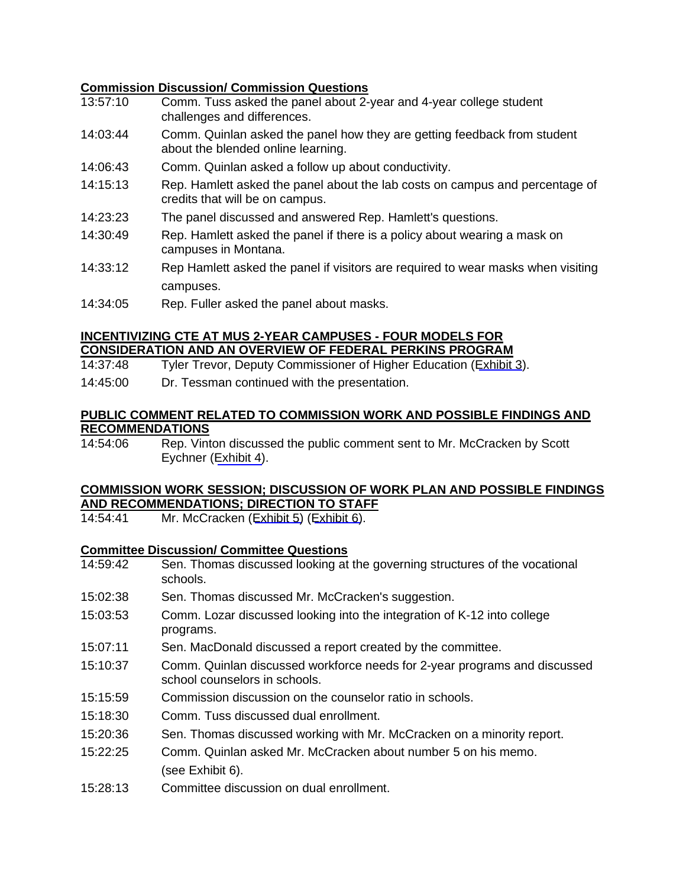### **Commission Discussion/ Commission Questions**

- 13:57:10 Comm. Tuss asked the panel about 2-year and 4-year college student challenges and differences.
- 14:03:44 Comm. Quinlan asked the panel how they are getting feedback from student about the blended online learning.
- 14:06:43 Comm. Quinlan asked a follow up about conductivity.
- 14:15:13 Rep. Hamlett asked the panel about the lab costs on campus and percentage of credits that will be on campus.
- 14:23:23 The panel discussed and answered Rep. Hamlett's questions.
- 14:30:49 Rep. Hamlett asked the panel if there is a policy about wearing a mask on campuses in Montana.
- 14:33:12 Rep Hamlett asked the panel if visitors are required to wear masks when visiting campuses.
- 14:34:05 Rep. Fuller asked the panel about masks.

#### **INCENTIVIZING CTE AT MUS 2-YEAR CAMPUSES - FOUR MODELS FOR CONSIDERATION AND AN OVERVIEW OF FEDERAL PERKINS PROGRAM**

- 14:37:48 Tyler Trevor, Deputy Commissioner of Higher Education ([Exhibit 3](https://leg.mt.gov/content/Committees/Interim/2019-2020/HB-754-MUS-2-Year-Commission/June-2020/Exhibits/EX3.pdf)).
- 14:45:00 Dr. Tessman continued with the presentation.

#### **PUBLIC COMMENT RELATED TO COMMISSION WORK AND POSSIBLE FINDINGS AND RECOMMENDATIONS**

14:54:06 Rep. Vinton discussed the public comment sent to Mr. McCracken by Scott Eychner ([Exhibit 4\)](https://leg.mt.gov/content/Committees/Interim/2019-2020/HB-754-MUS-2-Year-Commission/June-2020/Exhibits/EX4.pdf).

## **COMMISSION WORK SESSION; DISCUSSION OF WORK PLAN AND POSSIBLE FINDINGS AND RECOMMENDATIONS; DIRECTION TO STAFF**

14:54:41 Mr. McCracken ([Exhibit 5\)](https://leg.mt.gov/content/Committees/Interim/2019-2020/HB-754-MUS-2-Year-Commission/June-2020/Exhibits/EX5.pdf) ([Exhibit 6\)](https://leg.mt.gov/content/Committees/Interim/2019-2020/HB-754-MUS-2-Year-Commission/June-2020/Exhibits/EX6.pdf).

## **Committee Discussion/ Committee Questions**

- 14:59:42 Sen. Thomas discussed looking at the governing structures of the vocational schools.
- 15:02:38 Sen. Thomas discussed Mr. McCracken's suggestion.
- 15:03:53 Comm. Lozar discussed looking into the integration of K-12 into college programs.
- 15:07:11 Sen. MacDonald discussed a report created by the committee.
- 15:10:37 Comm. Quinlan discussed workforce needs for 2-year programs and discussed school counselors in schools.
- 15:15:59 Commission discussion on the counselor ratio in schools.
- 15:18:30 Comm. Tuss discussed dual enrollment.
- 15:20:36 Sen. Thomas discussed working with Mr. McCracken on a minority report.
- 15:22:25 Comm. Quinlan asked Mr. McCracken about number 5 on his memo. (see Exhibit 6).
- 15:28:13 Committee discussion on dual enrollment.